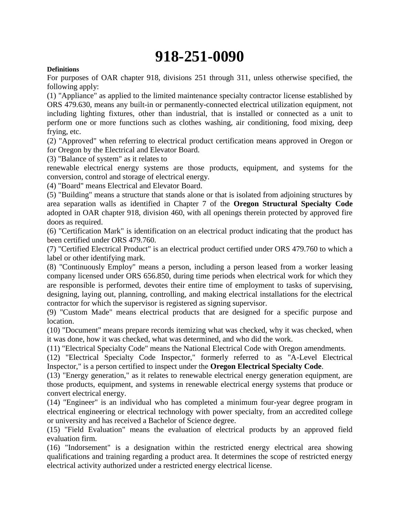# **918-251-0090**

#### **Definitions**

For purposes of OAR chapter 918, divisions 251 through 311, unless otherwise specified, the following apply:

(1) "Appliance" as applied to the limited maintenance specialty contractor license established by ORS 479.630, means any built-in or permanently-connected electrical utilization equipment, not including lighting fixtures, other than industrial, that is installed or connected as a unit to perform one or more functions such as clothes washing, air conditioning, food mixing, deep frying, etc.

(2) "Approved" when referring to electrical product certification means approved in Oregon or for Oregon by the Electrical and Elevator Board.

(3) "Balance of system" as it relates to

renewable electrical energy systems are those products, equipment, and systems for the conversion, control and storage of electrical energy.

(4) "Board" means Electrical and Elevator Board.

(5) "Building" means a structure that stands alone or that is isolated from adjoining structures by area separation walls as identified in Chapter 7 of the **Oregon Structural Specialty Code**  adopted in OAR chapter 918, division 460, with all openings therein protected by approved fire doors as required.

(6) "Certification Mark" is identification on an electrical product indicating that the product has been certified under ORS 479.760.

(7) "Certified Electrical Product" is an electrical product certified under ORS 479.760 to which a label or other identifying mark.

(8) "Continuously Employ" means a person, including a person leased from a worker leasing company licensed under ORS 656.850, during time periods when electrical work for which they are responsible is performed, devotes their entire time of employment to tasks of supervising, designing, laying out, planning, controlling, and making electrical installations for the electrical contractor for which the supervisor is registered as signing supervisor.

(9) "Custom Made" means electrical products that are designed for a specific purpose and location.

(10) "Document" means prepare records itemizing what was checked, why it was checked, when it was done, how it was checked, what was determined, and who did the work.

(11) "Electrical Specialty Code" means the National Electrical Code with Oregon amendments.

(12) "Electrical Specialty Code Inspector," formerly referred to as "A-Level Electrical Inspector," is a person certified to inspect under the **Oregon Electrical Specialty Code**.

(13) "Energy generation," as it relates to renewable electrical energy generation equipment, are those products, equipment, and systems in renewable electrical energy systems that produce or convert electrical energy.

(14) "Engineer" is an individual who has completed a minimum four-year degree program in electrical engineering or electrical technology with power specialty, from an accredited college or university and has received a Bachelor of Science degree.

(15) "Field Evaluation" means the evaluation of electrical products by an approved field evaluation firm.

(16) "Indorsement" is a designation within the restricted energy electrical area showing qualifications and training regarding a product area. It determines the scope of restricted energy electrical activity authorized under a restricted energy electrical license.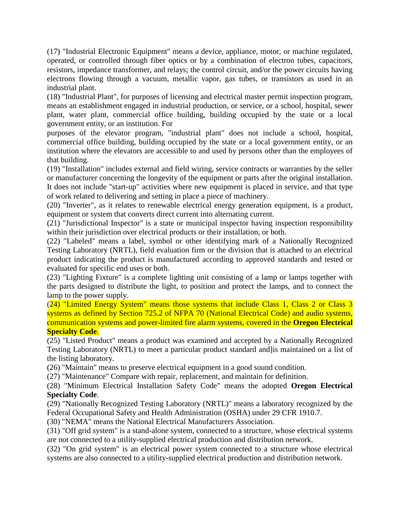(17) "Industrial Electronic Equipment" means a device, appliance, motor, or machine regulated, operated, or controlled through fiber optics or by a combination of electron tubes, capacitors, resistors, impedance transformer, and relays; the control circuit, and/or the power circuits having electrons flowing through a vacuum, metallic vapor, gas tubes, or transistors as used in an industrial plant.

(18) "Industrial Plant", for purposes of licensing and electrical master permit inspection program, means an establishment engaged in industrial production, or service, or a school, hospital, sewer plant, water plant, commercial office building, building occupied by the state or a local government entity, or an institution. For

purposes of the elevator program, "industrial plant" does not include a school, hospital, commercial office building, building occupied by the state or a local government entity, or an institution where the elevators are accessible to and used by persons other than the employees of that building.

(19) "Installation" includes external and field wiring, service contracts or warranties by the seller or manufacturer concerning the longevity of the equipment or parts after the original installation. It does not include "start-up" activities where new equipment is placed in service, and that type of work related to delivering and setting in place a piece of machinery.

(20) "Inverter", as it relates to renewable electrical energy generation equipment, is a product, equipment or system that converts direct current into alternating current.

(21) "Jurisdictional Inspector" is a state or municipal inspector having inspection responsibility within their jurisdiction over electrical products or their installation, or both.

(22) "Labeled" means a label, symbol or other identifying mark of a Nationally Recognized Testing Laboratory (NRTL), field evaluation firm or the division that is attached to an electrical product indicating the product is manufactured according to approved standards and tested or evaluated for specific end uses or both.

(23) "Lighting Fixture" is a complete lighting unit consisting of a lamp or lamps together with the parts designed to distribute the light, to position and protect the lamps, and to connect the lamp to the power supply.

(24) "Limited Energy System" means those systems that include Class 1, Class 2 or Class 3 systems as defined by Section 725.2 of NFPA 70 (National Electrical Code) and audio systems, communication systems and power-limited fire alarm systems, covered in the **Oregon Electrical Specialty Code**.

(25) "Listed Product" means a product was examined and accepted by a Nationally Recognized Testing Laboratory (NRTL) to meet a particular product standard and]is maintained on a list of the listing laboratory.

(26) "Maintain" means to preserve electrical equipment in a good sound condition.

(27) "Maintenance" Compare with repair, replacement, and maintain for definition.

(28) "Minimum Electrical Installation Safety Code" means the adopted **Oregon Electrical Specialty Code**.

(29) "Nationally Recognized Testing Laboratory (NRTL)" means a laboratory recognized by the Federal Occupational Safety and Health Administration (OSHA) under 29 CFR 1910.7.

(30) "NEMA" means the National Electrical Manufacturers Association.

(31) "Off grid system" is a stand-alone system, connected to a structure, whose electrical systems are not connected to a utility-supplied electrical production and distribution network.

(32) "On grid system" is an electrical power system connected to a structure whose electrical systems are also connected to a utility-supplied electrical production and distribution network.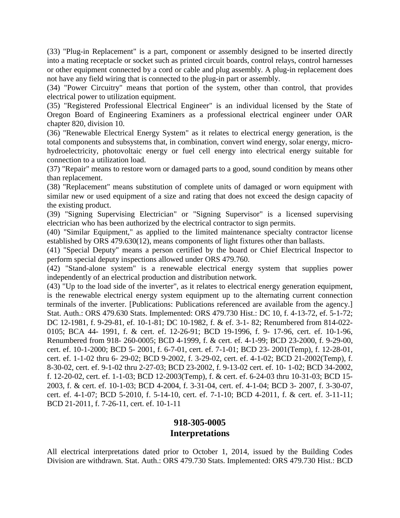(33) "Plug-in Replacement" is a part, component or assembly designed to be inserted directly into a mating receptacle or socket such as printed circuit boards, control relays, control harnesses or other equipment connected by a cord or cable and plug assembly. A plug-in replacement does not have any field wiring that is connected to the plug-in part or assembly.

(34) "Power Circuitry" means that portion of the system, other than control, that provides electrical power to utilization equipment.

(35) "Registered Professional Electrical Engineer" is an individual licensed by the State of Oregon Board of Engineering Examiners as a professional electrical engineer under OAR chapter 820, division 10.

(36) "Renewable Electrical Energy System" as it relates to electrical energy generation, is the total components and subsystems that, in combination, convert wind energy, solar energy, microhydroelectricity, photovoltaic energy or fuel cell energy into electrical energy suitable for connection to a utilization load.

(37) "Repair" means to restore worn or damaged parts to a good, sound condition by means other than replacement.

(38) "Replacement" means substitution of complete units of damaged or worn equipment with similar new or used equipment of a size and rating that does not exceed the design capacity of the existing product.

(39) "Signing Supervising Electrician" or "Signing Supervisor" is a licensed supervising electrician who has been authorized by the electrical contractor to sign permits.

(40) "Similar Equipment," as applied to the limited maintenance specialty contractor license established by ORS 479.630(12), means components of light fixtures other than ballasts.

(41) "Special Deputy" means a person certified by the board or Chief Electrical Inspector to perform special deputy inspections allowed under ORS 479.760.

(42) "Stand-alone system" is a renewable electrical energy system that supplies power independently of an electrical production and distribution network.

(43) "Up to the load side of the inverter", as it relates to electrical energy generation equipment, is the renewable electrical energy system equipment up to the alternating current connection terminals of the inverter. [Publications: Publications referenced are available from the agency.] Stat. Auth.: ORS 479.630 Stats. Implemented: ORS 479.730 Hist.: DC 10, f. 4-13-72, ef. 5-1-72; DC 12-1981, f. 9-29-81, ef. 10-1-81; DC 10-1982, f. & ef. 3-1- 82; Renumbered from 814-022- 0105; BCA 44- 1991, f. & cert. ef. 12-26-91; BCD 19-1996, f. 9- 17-96, cert. ef. 10-1-96, Renumbered from 918- 260-0005; BCD 4-1999, f. & cert. ef. 4-1-99; BCD 23-2000, f. 9-29-00, cert. ef. 10-1-2000; BCD 5- 2001, f. 6-7-01, cert. ef. 7-1-01; BCD 23- 2001(Temp), f. 12-28-01, cert. ef. 1-1-02 thru 6- 29-02; BCD 9-2002, f. 3-29-02, cert. ef. 4-1-02; BCD 21-2002(Temp), f. 8-30-02, cert. ef. 9-1-02 thru 2-27-03; BCD 23-2002, f. 9-13-02 cert. ef. 10- 1-02; BCD 34-2002, f. 12-20-02, cert. ef. 1-1-03; BCD 12-2003(Temp), f. & cert. ef. 6-24-03 thru 10-31-03; BCD 15- 2003, f. & cert. ef. 10-1-03; BCD 4-2004, f. 3-31-04, cert. ef. 4-1-04; BCD 3- 2007, f. 3-30-07, cert. ef. 4-1-07; BCD 5-2010, f. 5-14-10, cert. ef. 7-1-10; BCD 4-2011, f. & cert. ef. 3-11-11; BCD 21-2011, f. 7-26-11, cert. ef. 10-1-11

#### **918-305-0005 Interpretations**

All electrical interpretations dated prior to October 1, 2014, issued by the Building Codes Division are withdrawn. Stat. Auth.: ORS 479.730 Stats. Implemented: ORS 479.730 Hist.: BCD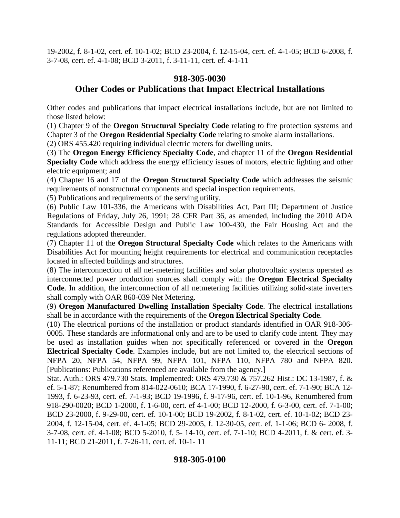19-2002, f. 8-1-02, cert. ef. 10-1-02; BCD 23-2004, f. 12-15-04, cert. ef. 4-1-05; BCD 6-2008, f. 3-7-08, cert. ef. 4-1-08; BCD 3-2011, f. 3-11-11, cert. ef. 4-1-11

# **918-305-0030 Other Codes or Publications that Impact Electrical Installations**

Other codes and publications that impact electrical installations include, but are not limited to those listed below:

(1) Chapter 9 of the **Oregon Structural Specialty Code** relating to fire protection systems and Chapter 3 of the **Oregon Residential Specialty Code** relating to smoke alarm installations.

(2) ORS 455.420 requiring individual electric meters for dwelling units.

(3) The **Oregon Energy Efficiency Specialty Code**, and chapter 11 of the **Oregon Residential Specialty Code** which address the energy efficiency issues of motors, electric lighting and other electric equipment; and

(4) Chapter 16 and 17 of the **Oregon Structural Specialty Code** which addresses the seismic requirements of nonstructural components and special inspection requirements.

(5) Publications and requirements of the serving utility.

(6) Public Law 101-336, the Americans with Disabilities Act, Part III; Department of Justice Regulations of Friday, July 26, 1991; 28 CFR Part 36, as amended, including the 2010 ADA Standards for Accessible Design and Public Law 100-430, the Fair Housing Act and the regulations adopted thereunder.

(7) Chapter 11 of the **Oregon Structural Specialty Code** which relates to the Americans with Disabilities Act for mounting height requirements for electrical and communication receptacles located in affected buildings and structures.

(8) The interconnection of all net-metering facilities and solar photovoltaic systems operated as interconnected power production sources shall comply with the **Oregon Electrical Specialty Code**. In addition, the interconnection of all netmetering facilities utilizing solid-state inverters shall comply with OAR 860-039 Net Metering.

(9) **Oregon Manufactured Dwelling Installation Specialty Code**. The electrical installations shall be in accordance with the requirements of the **Oregon Electrical Specialty Code**.

(10) The electrical portions of the installation or product standards identified in OAR 918-306- 0005. These standards are informational only and are to be used to clarify code intent. They may be used as installation guides when not specifically referenced or covered in the **Oregon Electrical Specialty Code**. Examples include, but are not limited to, the electrical sections of NFPA 20, NFPA 54, NFPA 99, NFPA 101, NFPA 110, NFPA 780 and NFPA 820. [Publications: Publications referenced are available from the agency.]

Stat. Auth.: ORS 479.730 Stats. Implemented: ORS 479.730 & 757.262 Hist.: DC 13-1987, f. & ef. 5-1-87; Renumbered from 814-022-0610; BCA 17-1990, f. 6-27-90, cert. ef. 7-1-90; BCA 12- 1993, f. 6-23-93, cert. ef. 7-1-93; BCD 19-1996, f. 9-17-96, cert. ef. 10-1-96, Renumbered from 918-290-0020; BCD 1-2000, f. 1-6-00, cert. ef 4-1-00; BCD 12-2000, f. 6-3-00, cert. ef. 7-1-00; BCD 23-2000, f. 9-29-00, cert. ef. 10-1-00; BCD 19-2002, f. 8-1-02, cert. ef. 10-1-02; BCD 23- 2004, f. 12-15-04, cert. ef. 4-1-05; BCD 29-2005, f. 12-30-05, cert. ef. 1-1-06; BCD 6- 2008, f. 3-7-08, cert. ef. 4-1-08; BCD 5-2010, f. 5- 14-10, cert. ef. 7-1-10; BCD 4-2011, f. & cert. ef. 3- 11-11; BCD 21-2011, f. 7-26-11, cert. ef. 10-1- 11

## **918-305-0100**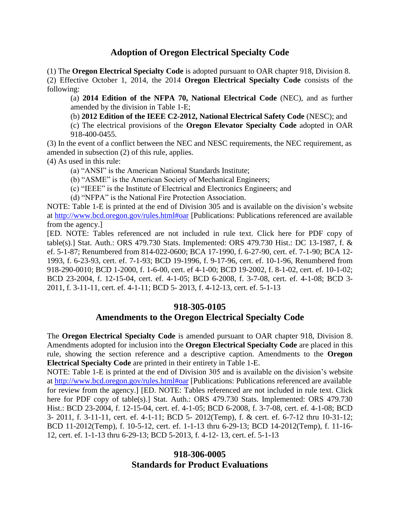## **Adoption of Oregon Electrical Specialty Code**

(1) The **Oregon Electrical Specialty Code** is adopted pursuant to OAR chapter 918, Division 8.

(2) Effective October 1, 2014, the 2014 **Oregon Electrical Specialty Code** consists of the following:

(a) **2014 Edition of the NFPA 70, National Electrical Code** (NEC), and as further amended by the division in Table 1-E;

(b) **2012 Edition of the IEEE C2-2012, National Electrical Safety Code** (NESC); and

(c) The electrical provisions of the **Oregon Elevator Specialty Code** adopted in OAR 918-400-0455.

(3) In the event of a conflict between the NEC and NESC requirements, the NEC requirement, as amended in subsection (2) of this rule, applies.

(4) As used in this rule:

(a) "ANSI" is the American National Standards Institute;

(b) "ASME" is the American Society of Mechanical Engineers;

(c) "IEEE" is the Institute of Electrical and Electronics Engineers; and

(d) "NFPA" is the National Fire Protection Association.

NOTE: Table 1-E is printed at the end of Division 305 and is available on the division's website at<http://www.bcd.oregon.gov/rules.html#oar> [Publications: Publications referenced are available from the agency.]

[ED. NOTE: Tables referenced are not included in rule text. Click here for PDF copy of table(s).] Stat. Auth.: ORS 479.730 Stats. Implemented: ORS 479.730 Hist.: DC 13-1987, f. & ef. 5-1-87; Renumbered from 814-022-0600; BCA 17-1990, f. 6-27-90, cert. ef. 7-1-90; BCA 12- 1993, f. 6-23-93, cert. ef. 7-1-93; BCD 19-1996, f. 9-17-96, cert. ef. 10-1-96, Renumbered from 918-290-0010; BCD 1-2000, f. 1-6-00, cert. ef 4-1-00; BCD 19-2002, f. 8-1-02, cert. ef. 10-1-02; BCD 23-2004, f. 12-15-04, cert. ef. 4-1-05; BCD 6-2008, f. 3-7-08, cert. ef. 4-1-08; BCD 3- 2011, f. 3-11-11, cert. ef. 4-1-11; BCD 5- 2013, f. 4-12-13, cert. ef. 5-1-13

#### **918-305-0105 Amendments to the Oregon Electrical Specialty Code**

The **Oregon Electrical Specialty Code** is amended pursuant to OAR chapter 918, Division 8. Amendments adopted for inclusion into the **Oregon Electrical Specialty Code** are placed in this rule, showing the section reference and a descriptive caption. Amendments to the **Oregon Electrical Specialty Code** are printed in their entirety in Table 1-E.

NOTE: Table 1-E is printed at the end of Division 305 and is available on the division's website at<http://www.bcd.oregon.gov/rules.html#oar> [Publications: Publications referenced are available for review from the agency.] [ED. NOTE: Tables referenced are not included in rule text. Click here for PDF copy of table(s).] Stat. Auth.: ORS 479.730 Stats. Implemented: ORS 479.730 Hist.: BCD 23-2004, f. 12-15-04, cert. ef. 4-1-05; BCD 6-2008, f. 3-7-08, cert. ef. 4-1-08; BCD 3- 2011, f. 3-11-11, cert. ef. 4-1-11; BCD 5- 2012(Temp), f. & cert. ef. 6-7-12 thru 10-31-12; BCD 11-2012(Temp), f. 10-5-12, cert. ef. 1-1-13 thru 6-29-13; BCD 14-2012(Temp), f. 11-16- 12, cert. ef. 1-1-13 thru 6-29-13; BCD 5-2013, f. 4-12- 13, cert. ef. 5-1-13

## **918-306-0005 Standards for Product Evaluations**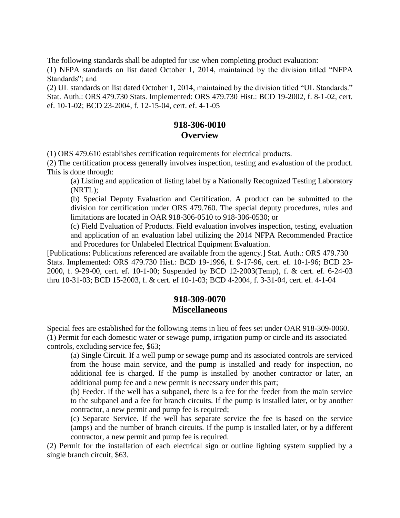The following standards shall be adopted for use when completing product evaluation:

(1) NFPA standards on list dated October 1, 2014, maintained by the division titled "NFPA Standards"; and

(2) UL standards on list dated October 1, 2014, maintained by the division titled "UL Standards." Stat. Auth.: ORS 479.730 Stats. Implemented: ORS 479.730 Hist.: BCD 19-2002, f. 8-1-02, cert. ef. 10-1-02; BCD 23-2004, f. 12-15-04, cert. ef. 4-1-05

#### **918-306-0010 Overview**

(1) ORS 479.610 establishes certification requirements for electrical products.

(2) The certification process generally involves inspection, testing and evaluation of the product. This is done through:

(a) Listing and application of listing label by a Nationally Recognized Testing Laboratory (NRTL);

(b) Special Deputy Evaluation and Certification. A product can be submitted to the division for certification under ORS 479.760. The special deputy procedures, rules and limitations are located in OAR 918-306-0510 to 918-306-0530; or

(c) Field Evaluation of Products. Field evaluation involves inspection, testing, evaluation and application of an evaluation label utilizing the 2014 NFPA Recommended Practice and Procedures for Unlabeled Electrical Equipment Evaluation.

[Publications: Publications referenced are available from the agency.] Stat. Auth.: ORS 479.730 Stats. Implemented: ORS 479.730 Hist.: BCD 19-1996, f. 9-17-96, cert. ef. 10-1-96; BCD 23- 2000, f. 9-29-00, cert. ef. 10-1-00; Suspended by BCD 12-2003(Temp), f. & cert. ef. 6-24-03 thru 10-31-03; BCD 15-2003, f. & cert. ef 10-1-03; BCD 4-2004, f. 3-31-04, cert. ef. 4-1-04

## **918-309-0070 Miscellaneous**

Special fees are established for the following items in lieu of fees set under OAR 918-309-0060. (1) Permit for each domestic water or sewage pump, irrigation pump or circle and its associated controls, excluding service fee, \$63;

(a) Single Circuit. If a well pump or sewage pump and its associated controls are serviced from the house main service, and the pump is installed and ready for inspection, no additional fee is charged. If the pump is installed by another contractor or later, an additional pump fee and a new permit is necessary under this part;

(b) Feeder. If the well has a subpanel, there is a fee for the feeder from the main service to the subpanel and a fee for branch circuits. If the pump is installed later, or by another contractor, a new permit and pump fee is required;

(c) Separate Service. If the well has separate service the fee is based on the service (amps) and the number of branch circuits. If the pump is installed later, or by a different contractor, a new permit and pump fee is required.

(2) Permit for the installation of each electrical sign or outline lighting system supplied by a single branch circuit, \$63.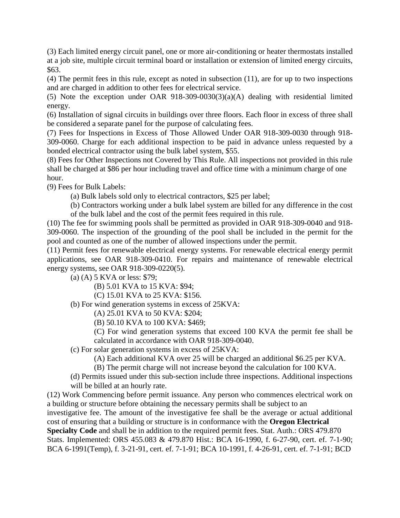(3) Each limited energy circuit panel, one or more air-conditioning or heater thermostats installed at a job site, multiple circuit terminal board or installation or extension of limited energy circuits, \$63.

(4) The permit fees in this rule, except as noted in subsection (11), are for up to two inspections and are charged in addition to other fees for electrical service.

(5) Note the exception under OAR 918-309-0030(3)(a)(A) dealing with residential limited energy.

(6) Installation of signal circuits in buildings over three floors. Each floor in excess of three shall be considered a separate panel for the purpose of calculating fees.

(7) Fees for Inspections in Excess of Those Allowed Under OAR 918-309-0030 through 918- 309-0060. Charge for each additional inspection to be paid in advance unless requested by a bonded electrical contractor using the bulk label system, \$55.

(8) Fees for Other Inspections not Covered by This Rule. All inspections not provided in this rule shall be charged at \$86 per hour including travel and office time with a minimum charge of one hour.

(9) Fees for Bulk Labels:

(a) Bulk labels sold only to electrical contractors, \$25 per label;

(b) Contractors working under a bulk label system are billed for any difference in the cost of the bulk label and the cost of the permit fees required in this rule.

(10) The fee for swimming pools shall be permitted as provided in OAR 918-309-0040 and 918- 309-0060. The inspection of the grounding of the pool shall be included in the permit for the pool and counted as one of the number of allowed inspections under the permit.

(11) Permit fees for renewable electrical energy systems. For renewable electrical energy permit applications, see OAR 918-309-0410. For repairs and maintenance of renewable electrical energy systems, see OAR 918-309-0220(5).

(a) (A) 5 KVA or less: \$79;

(B) 5.01 KVA to 15 KVA: \$94;

(C) 15.01 KVA to 25 KVA: \$156.

(b) For wind generation systems in excess of 25KVA:

(A) 25.01 KVA to 50 KVA: \$204;

(B) 50.10 KVA to 100 KVA: \$469;

(C) For wind generation systems that exceed 100 KVA the permit fee shall be calculated in accordance with OAR 918-309-0040.

(c) For solar generation systems in excess of 25KVA:

(A) Each additional KVA over 25 will be charged an additional \$6.25 per KVA.

(B) The permit charge will not increase beyond the calculation for 100 KVA.

(d) Permits issued under this sub-section include three inspections. Additional inspections will be billed at an hourly rate.

(12) Work Commencing before permit issuance. Any person who commences electrical work on a building or structure before obtaining the necessary permits shall be subject to an

investigative fee. The amount of the investigative fee shall be the average or actual additional cost of ensuring that a building or structure is in conformance with the **Oregon Electrical Specialty Code** and shall be in addition to the required permit fees. Stat. Auth.: ORS 479.870

Stats. Implemented: ORS 455.083 & 479.870 Hist.: BCA 16-1990, f. 6-27-90, cert. ef. 7-1-90; BCA 6-1991(Temp), f. 3-21-91, cert. ef. 7-1-91; BCA 10-1991, f. 4-26-91, cert. ef. 7-1-91; BCD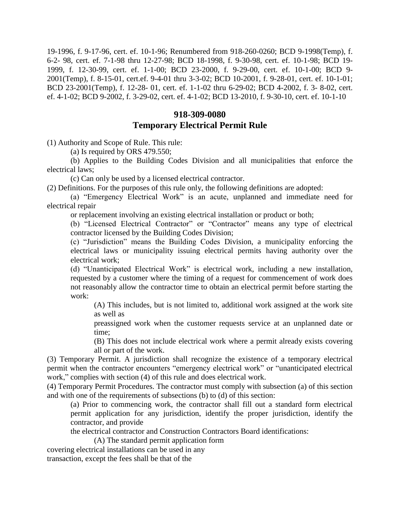19-1996, f. 9-17-96, cert. ef. 10-1-96; Renumbered from 918-260-0260; BCD 9-1998(Temp), f. 6-2- 98, cert. ef. 7-1-98 thru 12-27-98; BCD 18-1998, f. 9-30-98, cert. ef. 10-1-98; BCD 19- 1999, f. 12-30-99, cert. ef. 1-1-00; BCD 23-2000, f. 9-29-00, cert. ef. 10-1-00; BCD 9- 2001(Temp), f. 8-15-01, cert.ef. 9-4-01 thru 3-3-02; BCD 10-2001, f. 9-28-01, cert. ef. 10-1-01; BCD 23-2001(Temp), f. 12-28- 01, cert. ef. 1-1-02 thru 6-29-02; BCD 4-2002, f. 3- 8-02, cert. ef. 4-1-02; BCD 9-2002, f. 3-29-02, cert. ef. 4-1-02; BCD 13-2010, f. 9-30-10, cert. ef. 10-1-10

# **918-309-0080 Temporary Electrical Permit Rule**

(1) Authority and Scope of Rule. This rule:

(a) Is required by ORS 479.550;

(b) Applies to the Building Codes Division and all municipalities that enforce the electrical laws;

(c) Can only be used by a licensed electrical contractor.

(2) Definitions. For the purposes of this rule only, the following definitions are adopted:

(a) "Emergency Electrical Work" is an acute, unplanned and immediate need for electrical repair

or replacement involving an existing electrical installation or product or both;

(b) "Licensed Electrical Contractor" or "Contractor" means any type of electrical contractor licensed by the Building Codes Division;

(c) "Jurisdiction" means the Building Codes Division, a municipality enforcing the electrical laws or municipality issuing electrical permits having authority over the electrical work;

(d) "Unanticipated Electrical Work" is electrical work, including a new installation, requested by a customer where the timing of a request for commencement of work does not reasonably allow the contractor time to obtain an electrical permit before starting the work:

(A) This includes, but is not limited to, additional work assigned at the work site as well as

preassigned work when the customer requests service at an unplanned date or time;

(B) This does not include electrical work where a permit already exists covering all or part of the work.

(3) Temporary Permit. A jurisdiction shall recognize the existence of a temporary electrical permit when the contractor encounters "emergency electrical work" or "unanticipated electrical work," complies with section (4) of this rule and does electrical work.

(4) Temporary Permit Procedures. The contractor must comply with subsection (a) of this section and with one of the requirements of subsections (b) to (d) of this section:

(a) Prior to commencing work, the contractor shall fill out a standard form electrical permit application for any jurisdiction, identify the proper jurisdiction, identify the contractor, and provide

the electrical contractor and Construction Contractors Board identifications:

(A) The standard permit application form

covering electrical installations can be used in any

transaction, except the fees shall be that of the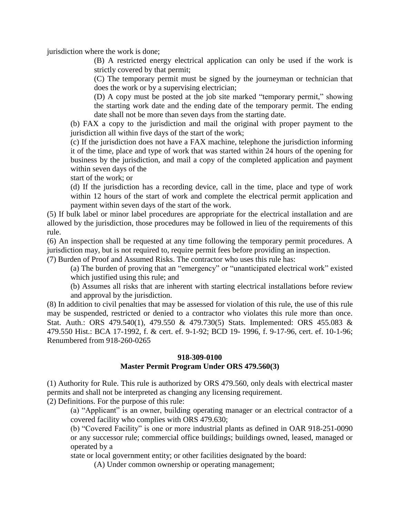jurisdiction where the work is done;

(B) A restricted energy electrical application can only be used if the work is strictly covered by that permit;

(C) The temporary permit must be signed by the journeyman or technician that does the work or by a supervising electrician;

(D) A copy must be posted at the job site marked "temporary permit," showing the starting work date and the ending date of the temporary permit. The ending date shall not be more than seven days from the starting date.

(b) FAX a copy to the jurisdiction and mail the original with proper payment to the jurisdiction all within five days of the start of the work;

(c) If the jurisdiction does not have a FAX machine, telephone the jurisdiction informing it of the time, place and type of work that was started within 24 hours of the opening for business by the jurisdiction, and mail a copy of the completed application and payment within seven days of the

start of the work; or

(d) If the jurisdiction has a recording device, call in the time, place and type of work within 12 hours of the start of work and complete the electrical permit application and payment within seven days of the start of the work.

(5) If bulk label or minor label procedures are appropriate for the electrical installation and are allowed by the jurisdiction, those procedures may be followed in lieu of the requirements of this rule.

(6) An inspection shall be requested at any time following the temporary permit procedures. A jurisdiction may, but is not required to, require permit fees before providing an inspection.

(7) Burden of Proof and Assumed Risks. The contractor who uses this rule has:

(a) The burden of proving that an "emergency" or "unanticipated electrical work" existed which justified using this rule; and

(b) Assumes all risks that are inherent with starting electrical installations before review and approval by the jurisdiction.

(8) In addition to civil penalties that may be assessed for violation of this rule, the use of this rule may be suspended, restricted or denied to a contractor who violates this rule more than once. Stat. Auth.: ORS 479.540(1), 479.550 & 479.730(5) Stats. Implemented: ORS 455.083 & 479.550 Hist.: BCA 17-1992, f. & cert. ef. 9-1-92; BCD 19- 1996, f. 9-17-96, cert. ef. 10-1-96; Renumbered from 918-260-0265

#### **918-309-0100 Master Permit Program Under ORS 479.560(3)**

(1) Authority for Rule. This rule is authorized by ORS 479.560, only deals with electrical master permits and shall not be interpreted as changing any licensing requirement.

(2) Definitions. For the purpose of this rule:

(a) "Applicant" is an owner, building operating manager or an electrical contractor of a covered facility who complies with ORS 479.630;

(b) "Covered Facility" is one or more industrial plants as defined in OAR 918-251-0090 or any successor rule; commercial office buildings; buildings owned, leased, managed or operated by a

state or local government entity; or other facilities designated by the board:

(A) Under common ownership or operating management;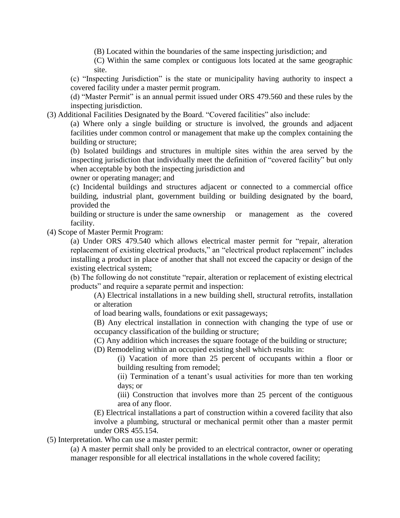(B) Located within the boundaries of the same inspecting jurisdiction; and

(C) Within the same complex or contiguous lots located at the same geographic site.

(c) "Inspecting Jurisdiction" is the state or municipality having authority to inspect a covered facility under a master permit program.

(d) "Master Permit" is an annual permit issued under ORS 479.560 and these rules by the inspecting jurisdiction.

(3) Additional Facilities Designated by the Board. "Covered facilities" also include:

(a) Where only a single building or structure is involved, the grounds and adjacent facilities under common control or management that make up the complex containing the building or structure;

(b) Isolated buildings and structures in multiple sites within the area served by the inspecting jurisdiction that individually meet the definition of "covered facility" but only when acceptable by both the inspecting jurisdiction and

owner or operating manager; and

(c) Incidental buildings and structures adjacent or connected to a commercial office building, industrial plant, government building or building designated by the board, provided the

building or structure is under the same ownership or management as the covered facility.

(4) Scope of Master Permit Program:

(a) Under ORS 479.540 which allows electrical master permit for "repair, alteration replacement of existing electrical products," an "electrical product replacement" includes installing a product in place of another that shall not exceed the capacity or design of the existing electrical system;

(b) The following do not constitute "repair, alteration or replacement of existing electrical products" and require a separate permit and inspection:

(A) Electrical installations in a new building shell, structural retrofits, installation or alteration

of load bearing walls, foundations or exit passageways;

(B) Any electrical installation in connection with changing the type of use or occupancy classification of the building or structure;

(C) Any addition which increases the square footage of the building or structure;

(D) Remodeling within an occupied existing shell which results in:

(i) Vacation of more than 25 percent of occupants within a floor or building resulting from remodel;

(ii) Termination of a tenant's usual activities for more than ten working days; or

(iii) Construction that involves more than 25 percent of the contiguous area of any floor.

(E) Electrical installations a part of construction within a covered facility that also involve a plumbing, structural or mechanical permit other than a master permit under ORS 455.154.

(5) Interpretation. Who can use a master permit:

(a) A master permit shall only be provided to an electrical contractor, owner or operating manager responsible for all electrical installations in the whole covered facility;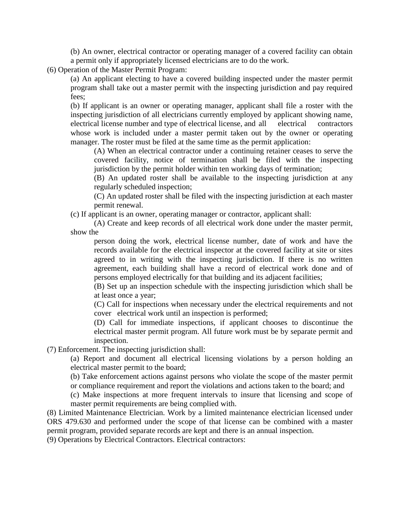(b) An owner, electrical contractor or operating manager of a covered facility can obtain a permit only if appropriately licensed electricians are to do the work.

(6) Operation of the Master Permit Program:

(a) An applicant electing to have a covered building inspected under the master permit program shall take out a master permit with the inspecting jurisdiction and pay required fees;

(b) If applicant is an owner or operating manager, applicant shall file a roster with the inspecting jurisdiction of all electricians currently employed by applicant showing name, electrical license number and type of electrical license, and all electrical contractors whose work is included under a master permit taken out by the owner or operating manager. The roster must be filed at the same time as the permit application:

(A) When an electrical contractor under a continuing retainer ceases to serve the covered facility, notice of termination shall be filed with the inspecting jurisdiction by the permit holder within ten working days of termination;

(B) An updated roster shall be available to the inspecting jurisdiction at any regularly scheduled inspection;

(C) An updated roster shall be filed with the inspecting jurisdiction at each master permit renewal.

(c) If applicant is an owner, operating manager or contractor, applicant shall:

(A) Create and keep records of all electrical work done under the master permit, show the

person doing the work, electrical license number, date of work and have the records available for the electrical inspector at the covered facility at site or sites agreed to in writing with the inspecting jurisdiction. If there is no written agreement, each building shall have a record of electrical work done and of persons employed electrically for that building and its adjacent facilities;

(B) Set up an inspection schedule with the inspecting jurisdiction which shall be at least once a year;

(C) Call for inspections when necessary under the electrical requirements and not cover electrical work until an inspection is performed;

(D) Call for immediate inspections, if applicant chooses to discontinue the electrical master permit program. All future work must be by separate permit and inspection.

(7) Enforcement. The inspecting jurisdiction shall:

(a) Report and document all electrical licensing violations by a person holding an electrical master permit to the board;

(b) Take enforcement actions against persons who violate the scope of the master permit or compliance requirement and report the violations and actions taken to the board; and

(c) Make inspections at more frequent intervals to insure that licensing and scope of master permit requirements are being complied with.

(8) Limited Maintenance Electrician. Work by a limited maintenance electrician licensed under ORS 479.630 and performed under the scope of that license can be combined with a master permit program, provided separate records are kept and there is an annual inspection.

(9) Operations by Electrical Contractors. Electrical contractors: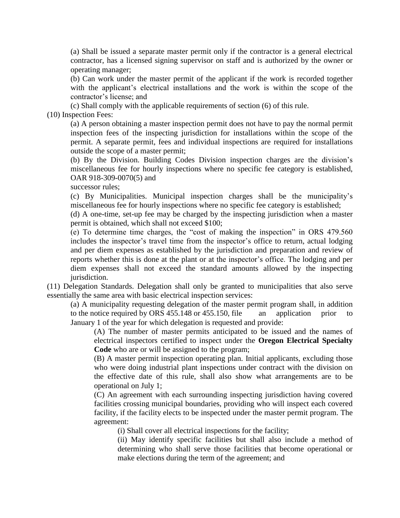(a) Shall be issued a separate master permit only if the contractor is a general electrical contractor, has a licensed signing supervisor on staff and is authorized by the owner or operating manager;

(b) Can work under the master permit of the applicant if the work is recorded together with the applicant's electrical installations and the work is within the scope of the contractor's license; and

(c) Shall comply with the applicable requirements of section (6) of this rule.

(10) Inspection Fees:

(a) A person obtaining a master inspection permit does not have to pay the normal permit inspection fees of the inspecting jurisdiction for installations within the scope of the permit. A separate permit, fees and individual inspections are required for installations outside the scope of a master permit;

(b) By the Division. Building Codes Division inspection charges are the division's miscellaneous fee for hourly inspections where no specific fee category is established, OAR 918-309-0070(5) and

successor rules;

(c) By Municipalities. Municipal inspection charges shall be the municipality's miscellaneous fee for hourly inspections where no specific fee category is established;

(d) A one-time, set-up fee may be charged by the inspecting jurisdiction when a master permit is obtained, which shall not exceed \$100;

(e) To determine time charges, the "cost of making the inspection" in ORS 479.560 includes the inspector's travel time from the inspector's office to return, actual lodging and per diem expenses as established by the jurisdiction and preparation and review of reports whether this is done at the plant or at the inspector's office. The lodging and per diem expenses shall not exceed the standard amounts allowed by the inspecting jurisdiction.

(11) Delegation Standards. Delegation shall only be granted to municipalities that also serve essentially the same area with basic electrical inspection services:

(a) A municipality requesting delegation of the master permit program shall, in addition to the notice required by ORS 455.148 or 455.150, file an application prior to January 1 of the year for which delegation is requested and provide:

(A) The number of master permits anticipated to be issued and the names of electrical inspectors certified to inspect under the **Oregon Electrical Specialty Code** who are or will be assigned to the program;

(B) A master permit inspection operating plan. Initial applicants, excluding those who were doing industrial plant inspections under contract with the division on the effective date of this rule, shall also show what arrangements are to be operational on July 1;

(C) An agreement with each surrounding inspecting jurisdiction having covered facilities crossing municipal boundaries, providing who will inspect each covered facility, if the facility elects to be inspected under the master permit program. The agreement:

(i) Shall cover all electrical inspections for the facility;

(ii) May identify specific facilities but shall also include a method of determining who shall serve those facilities that become operational or make elections during the term of the agreement; and